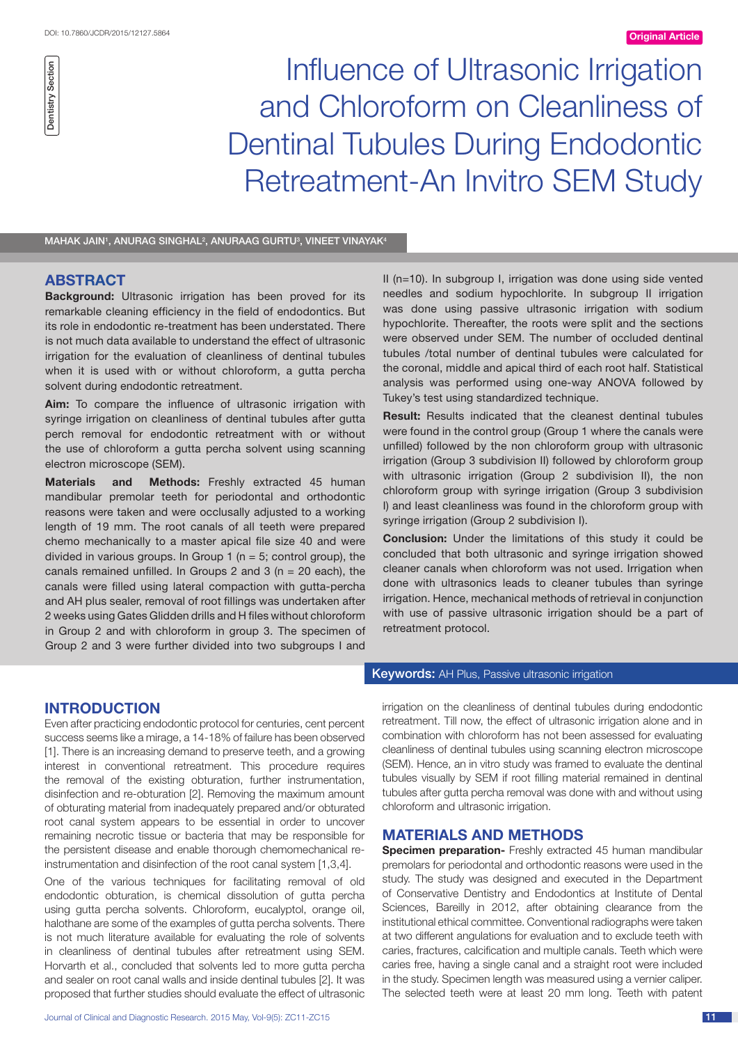Influence of Ultrasonic Irrigation and Chloroform on Cleanliness of Dentinal Tubules During Endodontic Retreatment-An Invitro SEM Study

#### MAHAK JAIN<sup>1</sup>, ANURAG SINGHAL<sup>2</sup>, ANURAAG GURTU<sup>3</sup>, VINEET VINAYAK<sup>4</sup>

# **ABSTRACT**

**Background:** Ultrasonic irrigation has been proved for its remarkable cleaning efficiency in the field of endodontics. But its role in endodontic re-treatment has been understated. There is not much data available to understand the effect of ultrasonic irrigation for the evaluation of cleanliness of dentinal tubules when it is used with or without chloroform, a gutta percha solvent during endodontic retreatment.

**Aim:** To compare the influence of ultrasonic irrigation with syringe irrigation on cleanliness of dentinal tubules after gutta perch removal for endodontic retreatment with or without the use of chloroform a gutta percha solvent using scanning electron microscope (SEM).

**Materials and Methods:** Freshly extracted 45 human mandibular premolar teeth for periodontal and orthodontic reasons were taken and were occlusally adjusted to a working length of 19 mm. The root canals of all teeth were prepared chemo mechanically to a master apical file size 40 and were divided in various groups. In Group 1 ( $n = 5$ ; control group), the canals remained unfilled. In Groups 2 and 3 ( $n = 20$  each), the canals were filled using lateral compaction with gutta-percha and AH plus sealer, removal of root fillings was undertaken after 2 weeks using Gates Glidden drills and H files without chloroform in Group 2 and with chloroform in group 3. The specimen of Group 2 and 3 were further divided into two subgroups I and II (n=10). In subgroup I, irrigation was done using side vented needles and sodium hypochlorite. In subgroup II irrigation was done using passive ultrasonic irrigation with sodium hypochlorite. Thereafter, the roots were split and the sections were observed under SEM. The number of occluded dentinal tubules /total number of dentinal tubules were calculated for the coronal, middle and apical third of each root half. Statistical analysis was performed using one-way ANOVA followed by Tukey's test using standardized technique.

**Result:** Results indicated that the cleanest dentinal tubules were found in the control group (Group 1 where the canals were unfilled) followed by the non chloroform group with ultrasonic irrigation (Group 3 subdivision II) followed by chloroform group with ultrasonic irrigation (Group 2 subdivision II), the non chloroform group with syringe irrigation (Group 3 subdivision I) and least cleanliness was found in the chloroform group with syringe irrigation (Group 2 subdivision I).

**Conclusion:** Under the limitations of this study it could be concluded that both ultrasonic and syringe irrigation showed cleaner canals when chloroform was not used. Irrigation when done with ultrasonics leads to cleaner tubules than syringe irrigation. Hence, mechanical methods of retrieval in conjunction with use of passive ultrasonic irrigation should be a part of retreatment protocol.

## **INTRODUCTION**

Even after practicing endodontic protocol for centuries, cent percent success seems like a mirage, a 14-18% of failure has been observed [1]. There is an increasing demand to preserve teeth, and a growing interest in conventional retreatment. This procedure requires the removal of the existing obturation, further instrumentation, disinfection and re-obturation [2]. Removing the maximum amount of obturating material from inadequately prepared and/or obturated root canal system appears to be essential in order to uncover remaining necrotic tissue or bacteria that may be responsible for the persistent disease and enable thorough chemomechanical reinstrumentation and disinfection of the root canal system [1,3,4].

One of the various techniques for facilitating removal of old endodontic obturation, is chemical dissolution of gutta percha using gutta percha solvents. Chloroform, eucalyptol, orange oil, halothane are some of the examples of gutta percha solvents. There is not much literature available for evaluating the role of solvents in cleanliness of dentinal tubules after retreatment using SEM. Horvarth et al., concluded that solvents led to more gutta percha and sealer on root canal walls and inside dentinal tubules [2]. It was proposed that further studies should evaluate the effect of ultrasonic

## **Keywords:** AH Plus, Passive ultrasonic irrigation

irrigation on the cleanliness of dentinal tubules during endodontic retreatment. Till now, the effect of ultrasonic irrigation alone and in combination with chloroform has not been assessed for evaluating cleanliness of dentinal tubules using scanning electron microscope (SEM). Hence, an in vitro study was framed to evaluate the dentinal tubules visually by SEM if root filling material remained in dentinal tubules after gutta percha removal was done with and without using chloroform and ultrasonic irrigation.

## **MATERIALS AND METHODS**

**Specimen preparation-** Freshly extracted 45 human mandibular premolars for periodontal and orthodontic reasons were used in the study. The study was designed and executed in the Department of Conservative Dentistry and Endodontics at Institute of Dental Sciences, Bareilly in 2012, after obtaining clearance from the institutional ethical committee. Conventional radiographs were taken at two different angulations for evaluation and to exclude teeth with caries, fractures, calcification and multiple canals. Teeth which were caries free, having a single canal and a straight root were included in the study. Specimen length was measured using a vernier caliper. The selected teeth were at least 20 mm long. Teeth with patent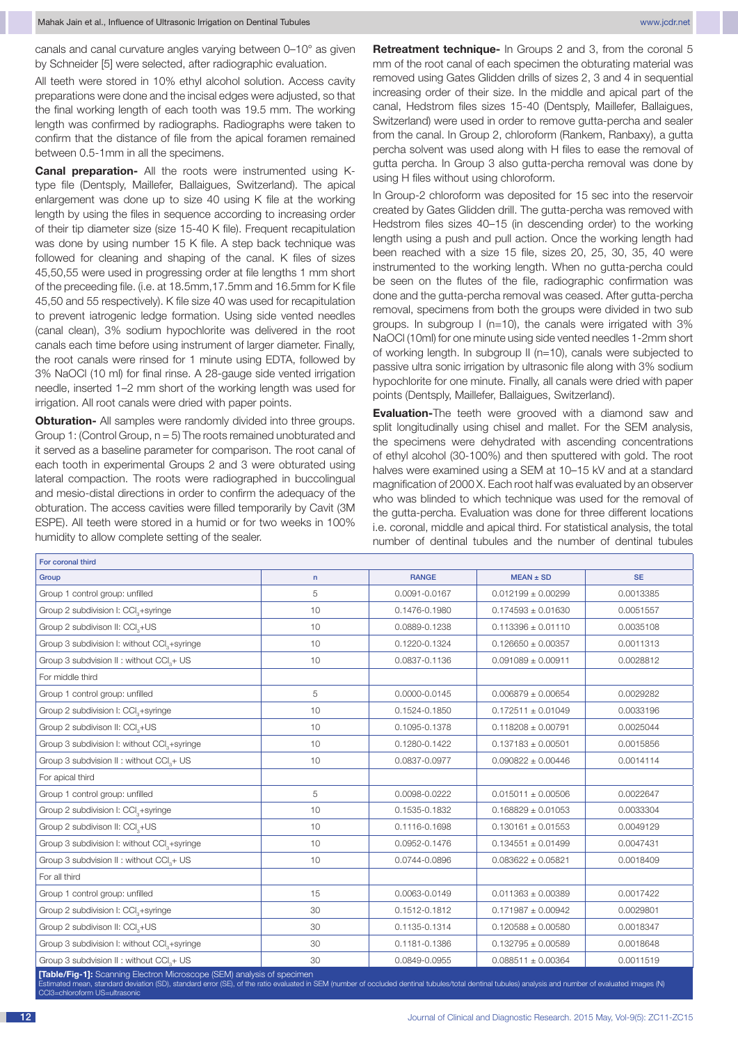canals and canal curvature angles varying between 0–10° as given by Schneider [5] were selected, after radiographic evaluation.

All teeth were stored in 10% ethyl alcohol solution. Access cavity preparations were done and the incisal edges were adjusted, so that the final working length of each tooth was 19.5 mm. The working length was confirmed by radiographs. Radiographs were taken to confirm that the distance of file from the apical foramen remained between 0.5-1mm in all the specimens.

**Canal preparation-** All the roots were instrumented using Ktype file (Dentsply, Maillefer, Ballaigues, Switzerland). The apical enlargement was done up to size 40 using K file at the working length by using the files in sequence according to increasing order of their tip diameter size (size 15-40 K file). Frequent recapitulation was done by using number 15 K file. A step back technique was followed for cleaning and shaping of the canal. K files of sizes 45,50,55 were used in progressing order at file lengths 1 mm short of the preceeding file. (i.e. at 18.5mm,17.5mm and 16.5mm for K file 45,50 and 55 respectively). K file size 40 was used for recapitulation to prevent iatrogenic ledge formation. Using side vented needles (canal clean), 3% sodium hypochlorite was delivered in the root canals each time before using instrument of larger diameter. Finally, the root canals were rinsed for 1 minute using EDTA, followed by 3% NaOCl (10 ml) for final rinse. A 28-gauge side vented irrigation needle, inserted 1–2 mm short of the working length was used for irrigation. All root canals were dried with paper points.

**Obturation-** All samples were randomly divided into three groups. Group 1: (Control Group,  $n = 5$ ) The roots remained unobturated and it served as a baseline parameter for comparison. The root canal of each tooth in experimental Groups 2 and 3 were obturated using lateral compaction. The roots were radiographed in buccolingual and mesio-distal directions in order to confirm the adequacy of the obturation. The access cavities were filled temporarily by Cavit (3M ESPE). All teeth were stored in a humid or for two weeks in 100% humidity to allow complete setting of the sealer.

**Retreatment technique-** In Groups 2 and 3, from the coronal 5 mm of the root canal of each specimen the obturating material was removed using Gates Glidden drills of sizes 2, 3 and 4 in sequential increasing order of their size. In the middle and apical part of the canal, Hedstrom files sizes 15-40 (Dentsply, Maillefer, Ballaigues, Switzerland) were used in order to remove gutta-percha and sealer from the canal. In Group 2, chloroform (Rankem, Ranbaxy), a gutta percha solvent was used along with H files to ease the removal of gutta percha. In Group 3 also gutta-percha removal was done by using H files without using chloroform.

In Group-2 chloroform was deposited for 15 sec into the reservoir created by Gates Glidden drill. The gutta-percha was removed with Hedstrom files sizes 40–15 (in descending order) to the working length using a push and pull action. Once the working length had been reached with a size 15 file, sizes 20, 25, 30, 35, 40 were instrumented to the working length. When no gutta-percha could be seen on the flutes of the file, radiographic confirmation was done and the gutta-percha removal was ceased. After gutta-percha removal, specimens from both the groups were divided in two sub groups. In subgroup I (n=10), the canals were irrigated with 3% NaOCl (10ml) for one minute using side vented needles 1-2mm short of working length. In subgroup II (n=10), canals were subjected to passive ultra sonic irrigation by ultrasonic file along with 3% sodium hypochlorite for one minute. Finally, all canals were dried with paper points (Dentsply, Maillefer, Ballaigues, Switzerland).

**Evaluation-**The teeth were grooved with a diamond saw and split longitudinally using chisel and mallet. For the SEM analysis, the specimens were dehydrated with ascending concentrations of ethyl alcohol (30-100%) and then sputtered with gold. The root halves were examined using a SEM at 10-15 kV and at a standard magnification of 2000 X. Each root half was evaluated by an observer who was blinded to which technique was used for the removal of the gutta-percha. Evaluation was done for three different locations i.e. coronal, middle and apical third. For statistical analysis, the total number of dentinal tubules and the number of dentinal tubules

| ror coronal umu                                                                                                                                                                                                                                                                |    |               |                        |           |
|--------------------------------------------------------------------------------------------------------------------------------------------------------------------------------------------------------------------------------------------------------------------------------|----|---------------|------------------------|-----------|
| Group                                                                                                                                                                                                                                                                          | n  | <b>RANGE</b>  | $MEAN \pm SD$          | <b>SE</b> |
| Group 1 control group: unfilled                                                                                                                                                                                                                                                | 5  | 0.0091-0.0167 | $0.012199 \pm 0.00299$ | 0.0013385 |
| Group 2 subdivision I: CCI <sub>2</sub> +syringe                                                                                                                                                                                                                               | 10 | 0.1476-0.1980 | $0.174593 \pm 0.01630$ | 0.0051557 |
| Group 2 subdivison II: CCI <sub>2</sub> +US                                                                                                                                                                                                                                    | 10 | 0.0889-0.1238 | $0.113396 \pm 0.01110$ | 0.0035108 |
| Group 3 subdivision I: without CCI <sub>2</sub> +syringe                                                                                                                                                                                                                       | 10 | 0.1220-0.1324 | $0.126650 \pm 0.00357$ | 0.0011313 |
| Group 3 subdvision II : without CCI <sub>3</sub> + US                                                                                                                                                                                                                          | 10 | 0.0837-0.1136 | $0.091089 \pm 0.00911$ | 0.0028812 |
| For middle third                                                                                                                                                                                                                                                               |    |               |                        |           |
| Group 1 control group: unfilled                                                                                                                                                                                                                                                | 5  | 0.0000-0.0145 | $0.006879 \pm 0.00654$ | 0.0029282 |
| Group 2 subdivision I: CCI <sub>2</sub> +syringe                                                                                                                                                                                                                               | 10 | 0.1524-0.1850 | $0.172511 \pm 0.01049$ | 0.0033196 |
| Group 2 subdivison II: CCI <sub>2</sub> +US                                                                                                                                                                                                                                    | 10 | 0.1095-0.1378 | $0.118208 \pm 0.00791$ | 0.0025044 |
| Group 3 subdivision I: without CCI <sub>2</sub> +syringe                                                                                                                                                                                                                       | 10 | 0.1280-0.1422 | $0.137183 \pm 0.00501$ | 0.0015856 |
| Group 3 subdvision II : without CCI <sub>3</sub> + US                                                                                                                                                                                                                          | 10 | 0.0837-0.0977 | $0.090822 \pm 0.00446$ | 0.0014114 |
| For apical third                                                                                                                                                                                                                                                               |    |               |                        |           |
| Group 1 control group: unfilled                                                                                                                                                                                                                                                | 5  | 0.0098-0.0222 | $0.015011 \pm 0.00506$ | 0.0022647 |
| Group 2 subdivision I: CCI <sub>2</sub> +syringe                                                                                                                                                                                                                               | 10 | 0.1535-0.1832 | $0.168829 \pm 0.01053$ | 0.0033304 |
| Group 2 subdivison II: CCI <sub>3</sub> +US                                                                                                                                                                                                                                    | 10 | 0.1116-0.1698 | $0.130161 \pm 0.01553$ | 0.0049129 |
| Group 3 subdivision I: without CCI <sub>3</sub> +syringe                                                                                                                                                                                                                       | 10 | 0.0952-0.1476 | $0.134551 \pm 0.01499$ | 0.0047431 |
| Group 3 subdvision II : without CCI <sub>2</sub> + US                                                                                                                                                                                                                          | 10 | 0.0744-0.0896 | $0.083622 \pm 0.05821$ | 0.0018409 |
| For all third                                                                                                                                                                                                                                                                  |    |               |                        |           |
| Group 1 control group: unfilled                                                                                                                                                                                                                                                | 15 | 0.0063-0.0149 | $0.011363 \pm 0.00389$ | 0.0017422 |
| Group 2 subdivision I: CCI syringe                                                                                                                                                                                                                                             | 30 | 0.1512-0.1812 | $0.171987 \pm 0.00942$ | 0.0029801 |
| Group 2 subdivison II: CCI <sub>2</sub> +US                                                                                                                                                                                                                                    | 30 | 0.1135-0.1314 | $0.120588 \pm 0.00580$ | 0.0018347 |
| Group 3 subdivision I: without CCI <sub>2</sub> +syringe                                                                                                                                                                                                                       | 30 | 0.1181-0.1386 | $0.132795 \pm 0.00589$ | 0.0018648 |
| Group 3 subdvision II : without CCI <sub>2</sub> + US                                                                                                                                                                                                                          | 30 | 0.0849-0.0955 | $0.088511 \pm 0.00364$ | 0.0011519 |
| [Table/Fig-1]: Scanning Electron Microscope (SEM) analysis of specimen<br>Estimated mean, standard deviation (SD), standard error (SE), of the ratio evaluated in SEM (number of occluded dentinal tubules/total dentinal tubules) analysis and number of evaluated images (N) |    |               |                        |           |

chloroform US=ultrason

For coronal third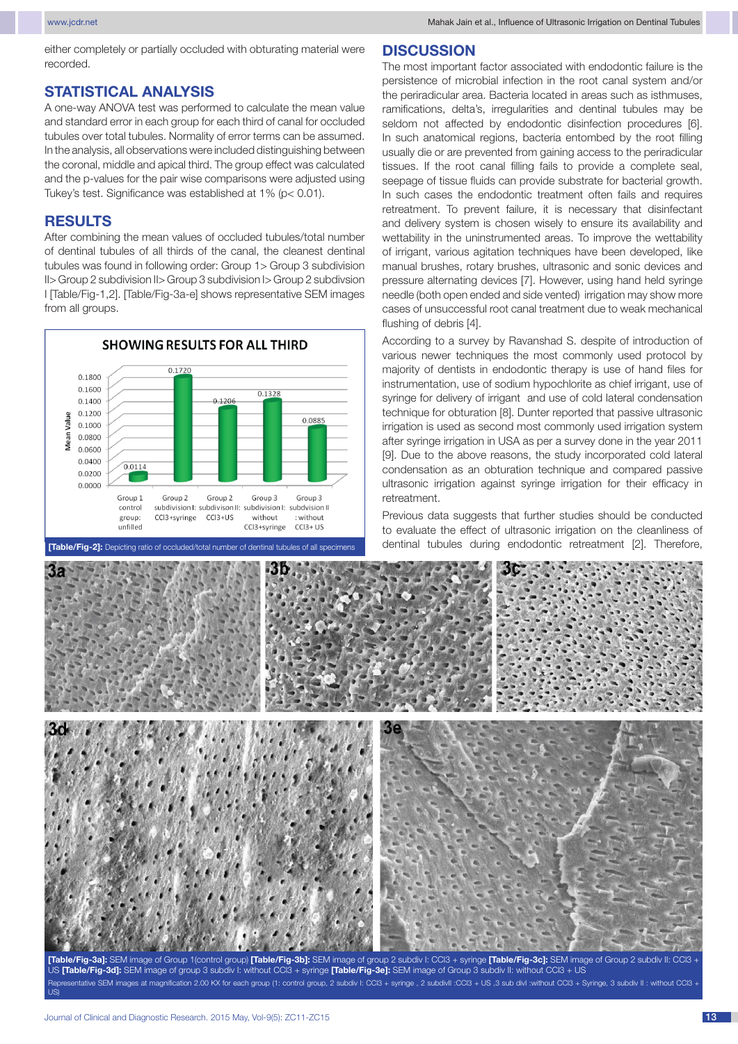either completely or partially occluded with obturating material were recorded.

# **STATISTICAL ANALYSIS**

A one-way ANOVA test was performed to calculate the mean value and standard error in each group for each third of canal for occluded tubules over total tubules. Normality of error terms can be assumed. In the analysis, all observations were included distinguishing between the coronal, middle and apical third. The group effect was calculated and the p-values for the pair wise comparisons were adjusted using Tukey's test. Significance was established at 1% (p< 0.01).

### **RESULTS**

After combining the mean values of occluded tubules/total number of dentinal tubules of all thirds of the canal, the cleanest dentinal tubules was found in following order: Group 1> Group 3 subdivision II> Group 2 subdivision II> Group 3 subdivision I> Group 2 subdivsion I [Table/Fig-1,2]. [Table/Fig-3a-e] shows representative SEM images from all groups.



# **DISCUSSION**

The most important factor associated with endodontic failure is the persistence of microbial infection in the root canal system and/or the periradicular area. Bacteria located in areas such as isthmuses, ramifications, delta's, irregularities and dentinal tubules may be seldom not affected by endodontic disinfection procedures [6]. In such anatomical regions, bacteria entombed by the root filling usually die or are prevented from gaining access to the periradicular tissues. If the root canal filling fails to provide a complete seal, seepage of tissue fluids can provide substrate for bacterial growth. In such cases the endodontic treatment often fails and requires retreatment. To prevent failure, it is necessary that disinfectant and delivery system is chosen wisely to ensure its availability and wettability in the uninstrumented areas. To improve the wettability of irrigant, various agitation techniques have been developed, like manual brushes, rotary brushes, ultrasonic and sonic devices and pressure alternating devices [7]. However, using hand held syringe needle (both open ended and side vented) irrigation may show more cases of unsuccessful root canal treatment due to weak mechanical flushing of debris [4].

According to a survey by Ravanshad S. despite of introduction of various newer techniques the most commonly used protocol by majority of dentists in endodontic therapy is use of hand files for instrumentation, use of sodium hypochlorite as chief irrigant, use of syringe for delivery of irrigant and use of cold lateral condensation technique for obturation [8]. Dunter reported that passive ultrasonic irrigation is used as second most commonly used irrigation system after syringe irrigation in USA as per a survey done in the year 2011 [9]. Due to the above reasons, the study incorporated cold lateral condensation as an obturation technique and compared passive ultrasonic irrigation against syringe irrigation for their efficacy in retreatment.

Previous data suggests that further studies should be conducted to evaluate the effect of ultrasonic irrigation on the cleanliness of **[Table/Fig-2]:** Depicting ratio of occluded/total number of dentinal tubules of all specimens | dentinal tubules during endodontic retreatment [2]. Therefore,



**[Table/Fig-3a]:** SEM image of Group 1(control group) **[Table/Fig-3b]:** SEM image of group 2 subdiv I: CCl3 + syringe **[Table/Fig-3c]:** SEM image of Group 2 subdiv II: CCl3 + US **[Table/Fig-3d]:** SEM image of group 3 subdiv I: without CCl3 + syringe **[Table/Fig-3e]:** SEM image of Group 3 subdiv II: without CCl3 + US kentative SEM images at magnification 2.00 KX for each group (1: control group, 2 subdiv I: CCl3 + syringe , 2 subdivII : CCl3 + US ,3 sub divI :without CCl3 + Syringe, 3 subdiv II : without CCl3 + US)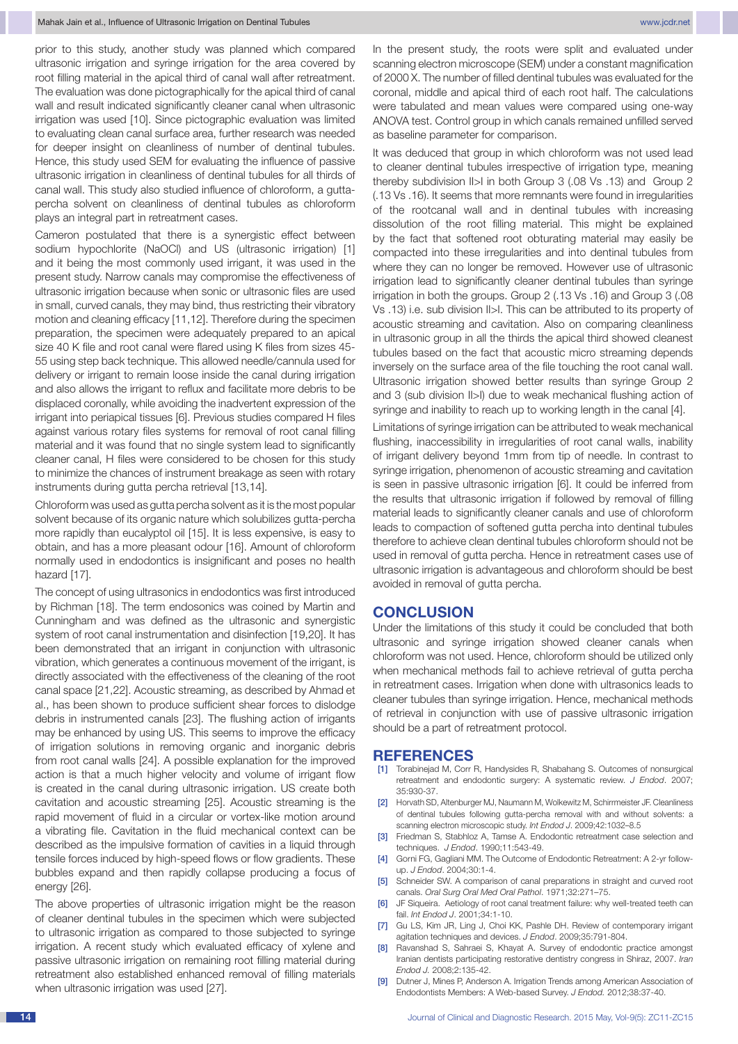prior to this study, another study was planned which compared ultrasonic irrigation and syringe irrigation for the area covered by root filling material in the apical third of canal wall after retreatment. The evaluation was done pictographically for the apical third of canal wall and result indicated significantly cleaner canal when ultrasonic irrigation was used [10]. Since pictographic evaluation was limited to evaluating clean canal surface area, further research was needed for deeper insight on cleanliness of number of dentinal tubules. Hence, this study used SEM for evaluating the influence of passive ultrasonic irrigation in cleanliness of dentinal tubules for all thirds of canal wall. This study also studied influence of chloroform, a guttapercha solvent on cleanliness of dentinal tubules as chloroform plays an integral part in retreatment cases.

Cameron postulated that there is a synergistic effect between sodium hypochlorite (NaOCl) and US (ultrasonic irrigation) [1] and it being the most commonly used irrigant, it was used in the present study. Narrow canals may compromise the effectiveness of ultrasonic irrigation because when sonic or ultrasonic files are used in small, curved canals, they may bind, thus restricting their vibratory motion and cleaning efficacy [11,12]. Therefore during the specimen preparation, the specimen were adequately prepared to an apical size 40 K file and root canal were flared using K files from sizes 45- 55 using step back technique. This allowed needle/cannula used for delivery or irrigant to remain loose inside the canal during irrigation and also allows the irrigant to reflux and facilitate more debris to be displaced coronally, while avoiding the inadvertent expression of the irrigant into periapical tissues [6]. Previous studies compared H files against various rotary files systems for removal of root canal filling material and it was found that no single system lead to significantly cleaner canal, H files were considered to be chosen for this study to minimize the chances of instrument breakage as seen with rotary instruments during gutta percha retrieval [13,14].

Chloroform was used as gutta percha solvent as it is the most popular solvent because of its organic nature which solubilizes gutta-percha more rapidly than eucalyptol oil [15]. It is less expensive, is easy to obtain, and has a more pleasant odour [16]. Amount of chloroform normally used in endodontics is insignificant and poses no health hazard [17].

The concept of using ultrasonics in endodontics was first introduced by Richman [18]. The term endosonics was coined by Martin and Cunningham and was defined as the ultrasonic and synergistic system of root canal instrumentation and disinfection [19,20]. It has been demonstrated that an irrigant in conjunction with ultrasonic vibration, which generates a continuous movement of the irrigant, is directly associated with the effectiveness of the cleaning of the root canal space [21,22]. Acoustic streaming, as described by Ahmad et al., has been shown to produce sufficient shear forces to dislodge debris in instrumented canals [23]. The flushing action of irrigants may be enhanced by using US. This seems to improve the efficacy of irrigation solutions in removing organic and inorganic debris from root canal walls [24]. A possible explanation for the improved action is that a much higher velocity and volume of irrigant flow is created in the canal during ultrasonic irrigation. US create both cavitation and acoustic streaming [25]. Acoustic streaming is the rapid movement of fluid in a circular or vortex-like motion around a vibrating file. Cavitation in the fluid mechanical context can be described as the impulsive formation of cavities in a liquid through tensile forces induced by high-speed flows or flow gradients. These bubbles expand and then rapidly collapse producing a focus of energy [26].

The above properties of ultrasonic irrigation might be the reason of cleaner dentinal tubules in the specimen which were subjected to ultrasonic irrigation as compared to those subjected to syringe irrigation. A recent study which evaluated efficacy of xylene and passive ultrasonic irrigation on remaining root filling material during retreatment also established enhanced removal of filling materials when ultrasonic irrigation was used [27].

In the present study, the roots were split and evaluated under scanning electron microscope (SEM) under a constant magnification of 2000 X. The number of filled dentinal tubules was evaluated for the coronal, middle and apical third of each root half. The calculations were tabulated and mean values were compared using one-way ANOVA test. Control group in which canals remained unfilled served as baseline parameter for comparison.

It was deduced that group in which chloroform was not used lead to cleaner dentinal tubules irrespective of irrigation type, meaning thereby subdivision II>I in both Group 3 (.08 Vs .13) and Group 2 (.13 Vs .16). It seems that more remnants were found in irregularities of the rootcanal wall and in dentinal tubules with increasing dissolution of the root filling material. This might be explained by the fact that softened root obturating material may easily be compacted into these irregularities and into dentinal tubules from where they can no longer be removed. However use of ultrasonic irrigation lead to significantly cleaner dentinal tubules than syringe irrigation in both the groups. Group 2 (.13 Vs .16) and Group 3 (.08 Vs .13) i.e. sub division II>I. This can be attributed to its property of acoustic streaming and cavitation. Also on comparing cleanliness in ultrasonic group in all the thirds the apical third showed cleanest tubules based on the fact that acoustic micro streaming depends inversely on the surface area of the file touching the root canal wall. Ultrasonic irrigation showed better results than syringe Group 2 and 3 (sub division II>I) due to weak mechanical flushing action of syringe and inability to reach up to working length in the canal [4].

Limitations of syringe irrigation can be attributed to weak mechanical flushing, inaccessibility in irregularities of root canal walls, inability of irrigant delivery beyond 1mm from tip of needle. In contrast to syringe irrigation, phenomenon of acoustic streaming and cavitation is seen in passive ultrasonic irrigation [6]. It could be inferred from the results that ultrasonic irrigation if followed by removal of filling material leads to significantly cleaner canals and use of chloroform leads to compaction of softened gutta percha into dentinal tubules therefore to achieve clean dentinal tubules chloroform should not be used in removal of gutta percha. Hence in retreatment cases use of ultrasonic irrigation is advantageous and chloroform should be best avoided in removal of gutta percha.

#### **CONCLUSION**

Under the limitations of this study it could be concluded that both ultrasonic and syringe irrigation showed cleaner canals when chloroform was not used. Hence, chloroform should be utilized only when mechanical methods fail to achieve retrieval of gutta percha in retreatment cases. Irrigation when done with ultrasonics leads to cleaner tubules than syringe irrigation. Hence, mechanical methods of retrieval in conjunction with use of passive ultrasonic irrigation should be a part of retreatment protocol.

#### **References**

- [1] Torabinejad M, Corr R, Handysides R, Shabahang S. Outcomes of nonsurgical retreatment and endodontic surgery: A systematic review. *J Endod*. 2007; 35:930-37.
- [2] Horvath SD, Altenburger MJ, Naumann M, Wolkewitz M, Schirrmeister JF. Cleanliness of dentinal tubules following gutta-percha removal with and without solvents: a scanning electron microscopic study. *Int Endod J*. 2009;42:1032–8.5
- [3] Friedman S, Stabhloz A, Tamse A. Endodontic retreatment case selection and techniques. *J Endod*. 1990;11:543-49.
- [4] Gorni FG, Gagliani MM. The Outcome of Endodontic Retreatment: A 2-yr followup. *J Endod*. 2004;30:1-4.
- [5] Schneider SW. A comparison of canal preparations in straight and curved root canals. *Oral Surg Oral Med Oral Pathol*. 1971;32:271–75.
- [6] JF Siqueira. Aetiology of root canal treatment failure: why well-treated teeth can fail. *Int Endod J*. 2001;34:1-10.
- [7] Gu LS, Kim JR, Ling J, Choi KK, Pashle DH. Review of contemporary irrigant agitation techniques and devices. *J Endod*. 2009;35:791-804.
- [8] Ravanshad S, Sahraei S, Khayat A. Survey of endodontic practice amongst Iranian dentists participating restorative dentistry congress in Shiraz, 2007. *Iran Endod J.* 2008;2:135-42.
- [9] Dutner J, Mines P, Anderson A. Irrigation Trends among American Association of Endodontists Members: A Web-based Survey. *J Endod.* 2012;38:37-40.